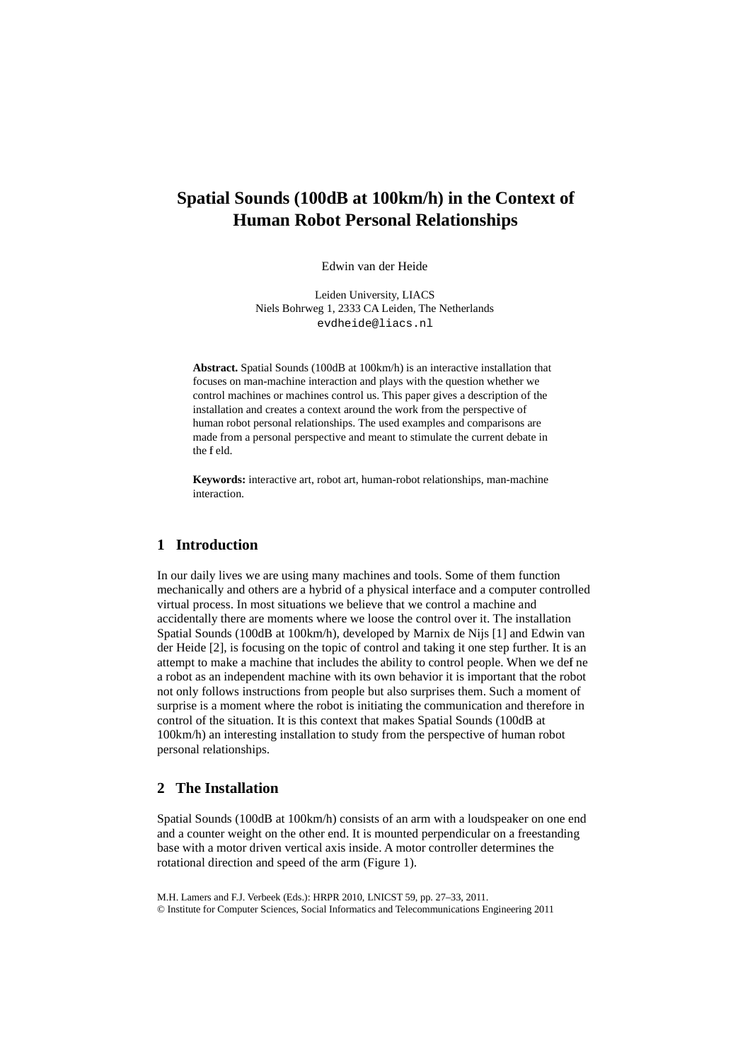# **Spatial Sounds (100dB at 100km/h) in the Context of Human Robot Personal Relationships**

Edwin van der Heide

Leiden University, LIACS Niels Bohrweg 1, 2333 CA Leiden, The Netherlands evdheide@liacs.nl

**Abstract.** Spatial Sounds (100dB at 100km/h) is an interactive installation that focuses on man-machine interaction and plays with the question whether we control machines or machines control us. This paper gives a description of the installation and creates a context around the work from the perspective of human robot personal relationships. The used examples and comparisons are made from a personal perspective and meant to stimulate the current debate in the feld.

**Keywords:** interactive art, robot art, human-robot relationships, man-machine interaction.

# **1 Introduction**

In our daily lives we are using many machines and tools. Some of them function mechanically and others are a hybrid of a physical interface and a computer controlled virtual process. In most situations we believe that we control a machine and accidentally there are moments where we loose the control over it. The installation Spatial Sounds (100dB at 100km/h), developed by Marnix de Nijs [1] and Edwin van der Heide [2], is focusing on the topic of control and taking it one step further. It is an attempt to make a machine that includes the ability to control people. When we def ne a robot as an independent machine with its own behavior it is important that the robot not only follows instructions from people but also surprises them. Such a moment of surprise is a moment where the robot is initiating the communication and therefore in control of the situation. It is this context that makes Spatial Sounds (100dB at 100km/h) an interesting installation to study from the perspective of human robot personal relationships.

### **2 The Installation**

Spatial Sounds (100dB at 100km/h) consists of an arm with a loudspeaker on one end and a counter weight on the other end. It is mounted perpendicular on a freestanding base with a motor driven vertical axis inside. A motor controller determines the rotational direction and speed of the arm (Figure 1).

M.H. Lamers and F.J. Verbeek (Eds.): HRPR 2010, LNICST 59, pp. 27–33, 2011. © Institute for Computer Sciences, Social Informatics and Telecommunications Engineering 2011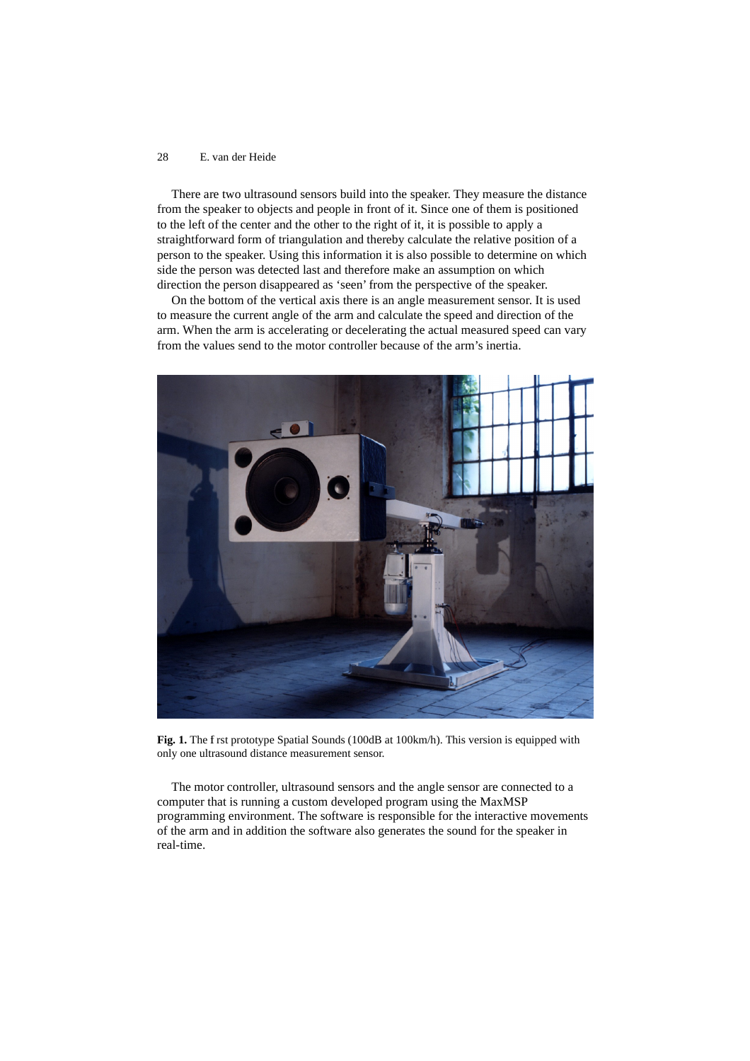#### 28 E. van der Heide

There are two ultrasound sensors build into the speaker. They measure the distance from the speaker to objects and people in front of it. Since one of them is positioned to the left of the center and the other to the right of it, it is possible to apply a straightforward form of triangulation and thereby calculate the relative position of a person to the speaker. Using this information it is also possible to determine on which side the person was detected last and therefore make an assumption on which direction the person disappeared as 'seen' from the perspective of the speaker.

On the bottom of the vertical axis there is an angle measurement sensor. It is used to measure the current angle of the arm and calculate the speed and direction of the arm. When the arm is accelerating or decelerating the actual measured speed can vary from the values send to the motor controller because of the arm's inertia.



Fig. 1. The f rst prototype Spatial Sounds (100dB at 100km/h). This version is equipped with only one ultrasound distance measurement sensor.

The motor controller, ultrasound sensors and the angle sensor are connected to a computer that is running a custom developed program using the MaxMSP programming environment. The software is responsible for the interactive movements of the arm and in addition the software also generates the sound for the speaker in real-time.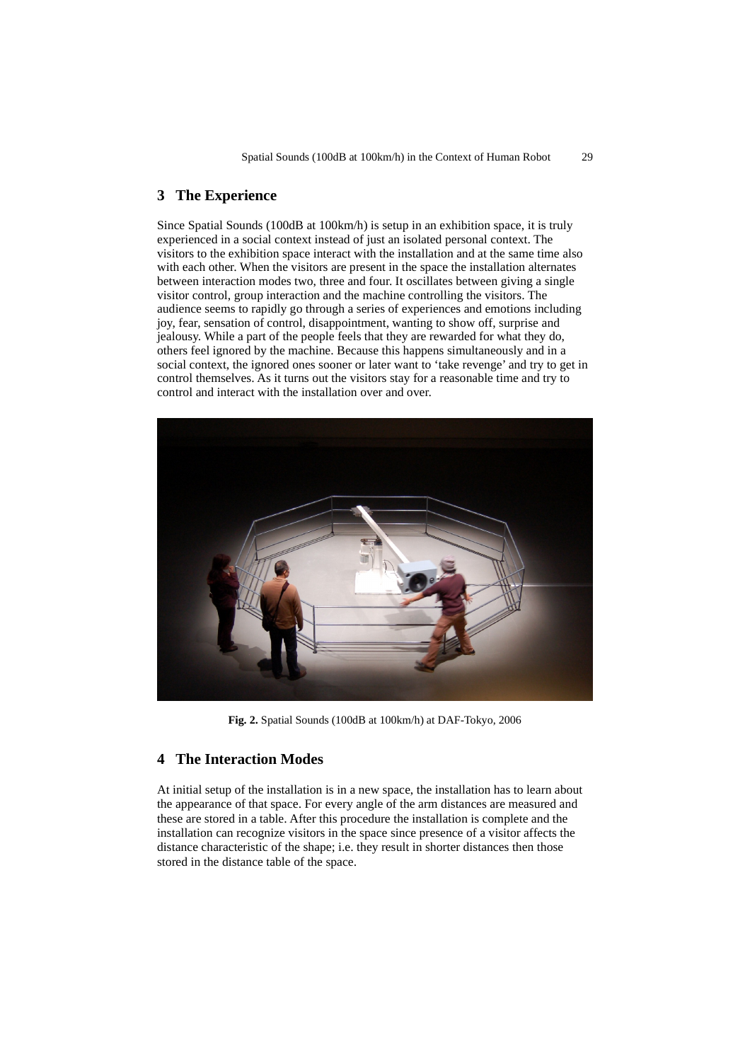# **3 The Experience**

Since Spatial Sounds (100dB at 100km/h) is setup in an exhibition space, it is truly experienced in a social context instead of just an isolated personal context. The visitors to the exhibition space interact with the installation and at the same time also with each other. When the visitors are present in the space the installation alternates between interaction modes two, three and four. It oscillates between giving a single visitor control, group interaction and the machine controlling the visitors. The audience seems to rapidly go through a series of experiences and emotions including joy, fear, sensation of control, disappointment, wanting to show off, surprise and jealousy. While a part of the people feels that they are rewarded for what they do, others feel ignored by the machine. Because this happens simultaneously and in a social context, the ignored ones sooner or later want to 'take revenge' and try to get in control themselves. As it turns out the visitors stay for a reasonable time and try to control and interact with the installation over and over.



**Fig. 2.** Spatial Sounds (100dB at 100km/h) at DAF-Tokyo, 2006

### **4 The Interaction Modes**

At initial setup of the installation is in a new space, the installation has to learn about the appearance of that space. For every angle of the arm distances are measured and these are stored in a table. After this procedure the installation is complete and the installation can recognize visitors in the space since presence of a visitor affects the distance characteristic of the shape; i.e. they result in shorter distances then those stored in the distance table of the space.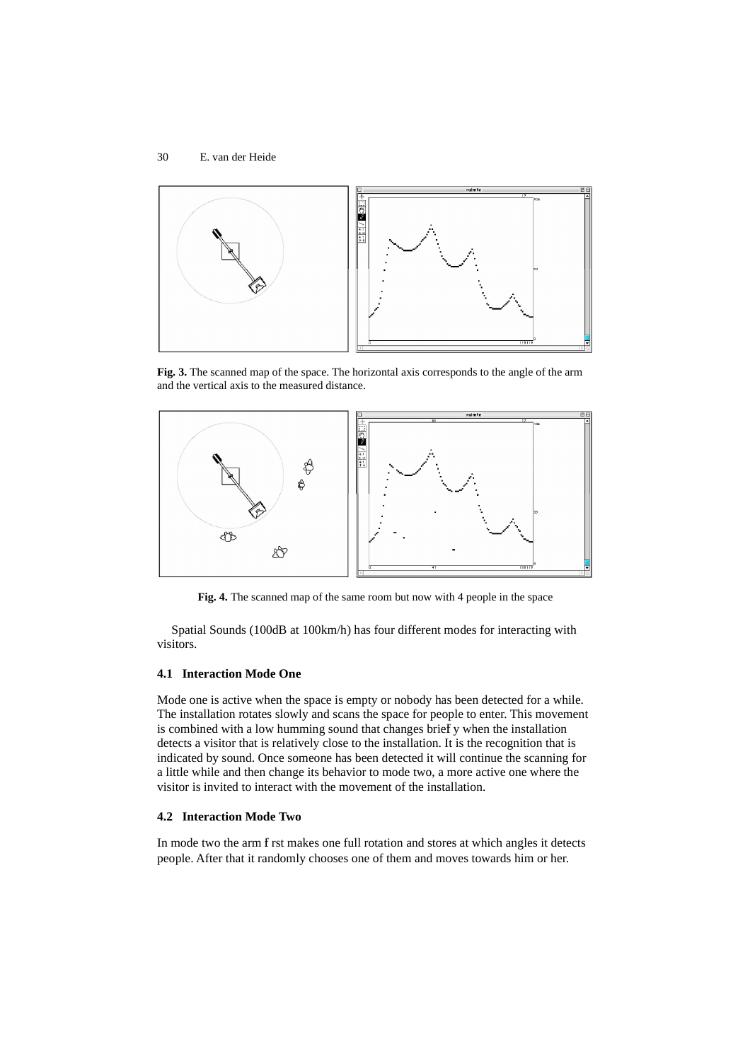

**Fig. 3.** The scanned map of the space. The horizontal axis corresponds to the angle of the arm and the vertical axis to the measured distance.



**Fig. 4.** The scanned map of the same room but now with 4 people in the space

Spatial Sounds (100dB at 100km/h) has four different modes for interacting with visitors.

### **4.1 Interaction Mode One**

Mode one is active when the space is empty or nobody has been detected for a while. The installation rotates slowly and scans the space for people to enter. This movement is combined with a low humming sound that changes brief y when the installation detects a visitor that is relatively close to the installation. It is the recognition that is indicated by sound. Once someone has been detected it will continue the scanning for a little while and then change its behavior to mode two, a more active one where the visitor is invited to interact with the movement of the installation.

#### **4.2 Interaction Mode Two**

In mode two the arm f rst makes one full rotation and stores at which angles it detects people. After that it randomly chooses one of them and moves towards him or her.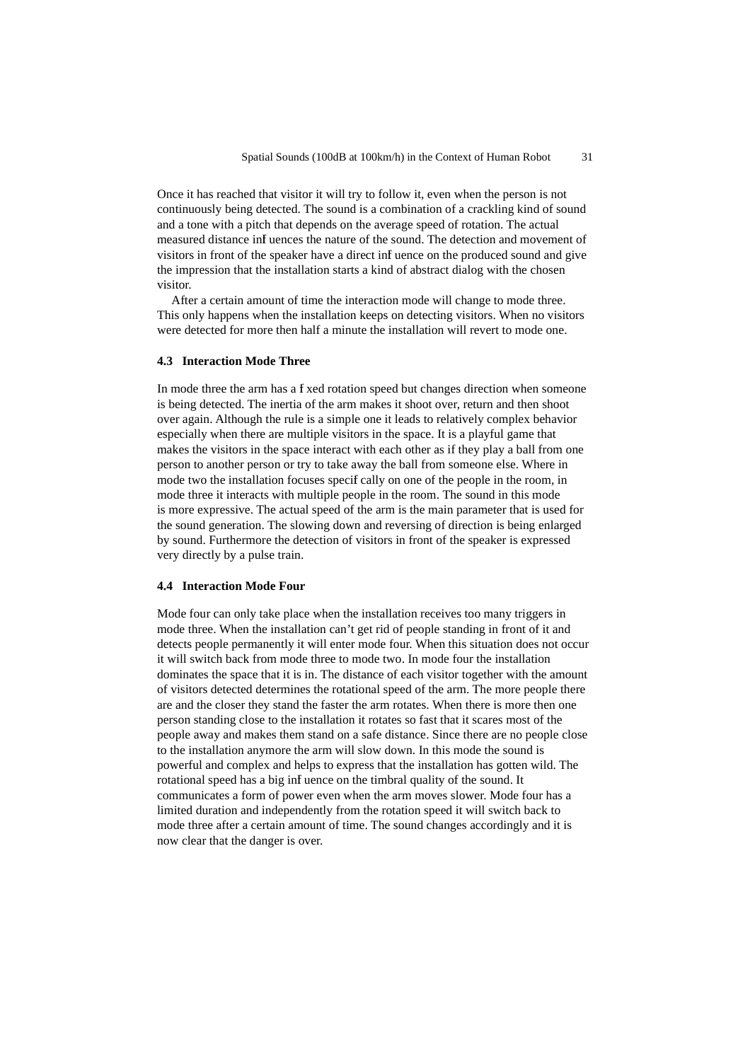Once it has reached that visitor it will try to follow it, even when the person is not continuously being detected. The sound is a combination of a crackling kind of sound and a tone with a pitch that depends on the average speed of rotation. The actual measured distance infl uences the nature of the sound. The detection and movement of visitors in front of the speaker have a direct infl uence on the produced sound and give the impression that the installation starts a kind of abstract dialog with the chosen visitor.

After a certain amount of time the interaction mode will change to mode three. This only happens when the installation keeps on detecting visitors. When no visitors were detected for more then half a minute the installation will revert to mode one.

#### **4.3 Interaction Mode Three**

In mode three the arm has a f xed rotation speed but changes direction when someone is being detected. The inertia of the arm makes it shoot over, return and then shoot over again. Although the rule is a simple one it leads to relatively complex behavior especially when there are multiple visitors in the space. It is a playful game that makes the visitors in the space interact with each other as if they play a ball from one person to another person or try to take away the ball from someone else. Where in mode two the installation focuses specifi cally on one of the people in the room, in mode three it interacts with multiple people in the room. The sound in this mode is more expressive. The actual speed of the arm is the main parameter that is used for the sound generation. The slowing down and reversing of direction is being enlarged by sound. Furthermore the detection of visitors in front of the speaker is expressed very directly by a pulse train.

#### **4.4 Interaction Mode Four**

Mode four can only take place when the installation receives too many triggers in mode three. When the installation can't get rid of people standing in front of it and detects people permanently it will enter mode four. When this situation does not occur it will switch back from mode three to mode two. In mode four the installation dominates the space that it is in. The distance of each visitor together with the amount of visitors detected determines the rotational speed of the arm. The more people there are and the closer they stand the faster the arm rotates. When there is more then one person standing close to the installation it rotates so fast that it scares most of the people away and makes them stand on a safe distance. Since there are no people close to the installation anymore the arm will slow down. In this mode the sound is powerful and complex and helps to express that the installation has gotten wild. The rotational speed has a big influence on the timbral quality of the sound. It communicates a form of power even when the arm moves slower. Mode four has a limited duration and independently from the rotation speed it will switch back to mode three after a certain amount of time. The sound changes accordingly and it is now clear that the danger is over.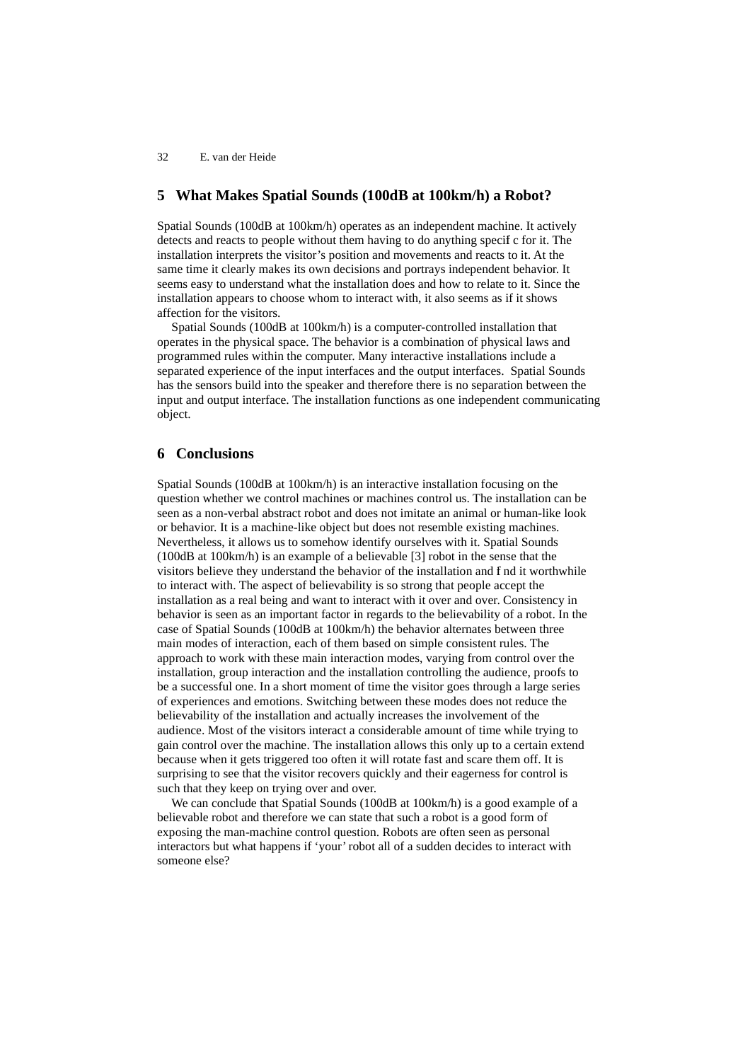### **5 What Makes Spatial Sounds (100dB at 100km/h) a Robot?**

Spatial Sounds (100dB at 100km/h) operates as an independent machine. It actively detects and reacts to people without them having to do anything specif c for it. The installation interprets the visitor's position and movements and reacts to it. At the same time it clearly makes its own decisions and portrays independent behavior. It seems easy to understand what the installation does and how to relate to it. Since the installation appears to choose whom to interact with, it also seems as if it shows affection for the visitors.

Spatial Sounds (100dB at 100km/h) is a computer-controlled installation that operates in the physical space. The behavior is a combination of physical laws and programmed rules within the computer. Many interactive installations include a separated experience of the input interfaces and the output interfaces. Spatial Sounds has the sensors build into the speaker and therefore there is no separation between the input and output interface. The installation functions as one independent communicating object.

### **6 Conclusions**

Spatial Sounds (100dB at 100km/h) is an interactive installation focusing on the question whether we control machines or machines control us. The installation can be seen as a non-verbal abstract robot and does not imitate an animal or human-like look or behavior. It is a machine-like object but does not resemble existing machines. Nevertheless, it allows us to somehow identify ourselves with it. Spatial Sounds (100dB at 100km/h) is an example of a believable [3] robot in the sense that the visitors believe they understand the behavior of the installation and f nd it worthwhile to interact with. The aspect of believability is so strong that people accept the installation as a real being and want to interact with it over and over. Consistency in behavior is seen as an important factor in regards to the believability of a robot. In the case of Spatial Sounds (100dB at 100km/h) the behavior alternates between three main modes of interaction, each of them based on simple consistent rules. The approach to work with these main interaction modes, varying from control over the installation, group interaction and the installation controlling the audience, proofs to be a successful one. In a short moment of time the visitor goes through a large series of experiences and emotions. Switching between these modes does not reduce the believability of the installation and actually increases the involvement of the audience. Most of the visitors interact a considerable amount of time while trying to gain control over the machine. The installation allows this only up to a certain extend because when it gets triggered too often it will rotate fast and scare them off. It is surprising to see that the visitor recovers quickly and their eagerness for control is such that they keep on trying over and over.

We can conclude that Spatial Sounds (100dB at 100km/h) is a good example of a believable robot and therefore we can state that such a robot is a good form of exposing the man-machine control question. Robots are often seen as personal interactors but what happens if 'your' robot all of a sudden decides to interact with someone else?